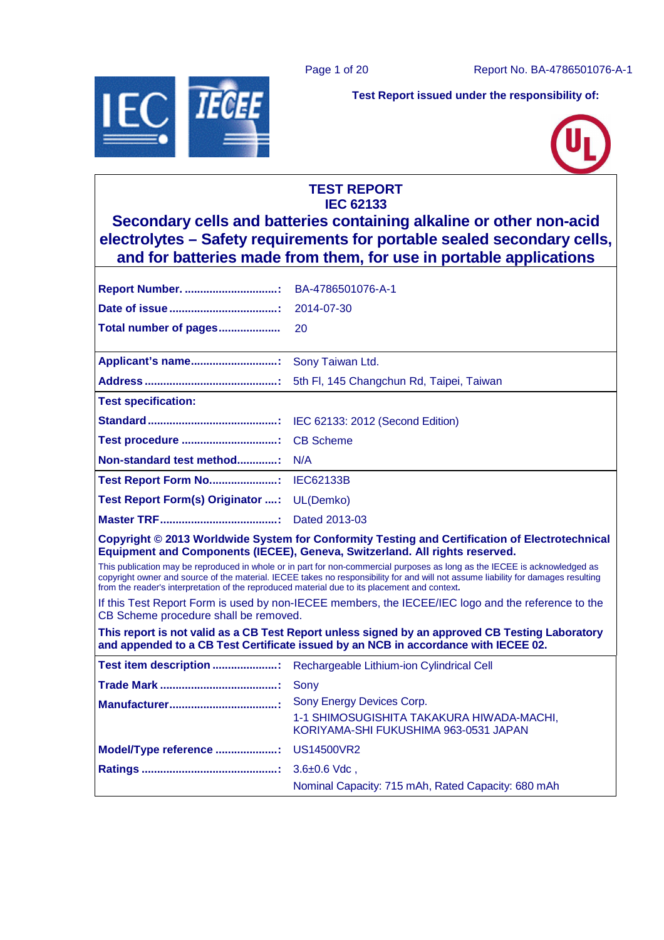Page 1 of 20 Report No. BA-4786501076-A-1



**Test Report issued under the responsibility of:** 



## **TEST REPORT IEC 62133**

**Secondary cells and batteries containing alkaline or other non-acid electrolytes – Safety requirements for portable sealed secondary cells, and for batteries made from them, for use in portable applications** 

| Report Number.                                                                                                                                                                                                                                                                                                                                                   | BA-4786501076-A-1                                                                                                                                                                      |  |  |
|------------------------------------------------------------------------------------------------------------------------------------------------------------------------------------------------------------------------------------------------------------------------------------------------------------------------------------------------------------------|----------------------------------------------------------------------------------------------------------------------------------------------------------------------------------------|--|--|
|                                                                                                                                                                                                                                                                                                                                                                  | 2014-07-30                                                                                                                                                                             |  |  |
| Total number of pages                                                                                                                                                                                                                                                                                                                                            | 20                                                                                                                                                                                     |  |  |
| Applicant's name:                                                                                                                                                                                                                                                                                                                                                | Sony Taiwan Ltd.                                                                                                                                                                       |  |  |
|                                                                                                                                                                                                                                                                                                                                                                  | 5th FI, 145 Changchun Rd, Taipei, Taiwan                                                                                                                                               |  |  |
| <b>Test specification:</b>                                                                                                                                                                                                                                                                                                                                       |                                                                                                                                                                                        |  |  |
|                                                                                                                                                                                                                                                                                                                                                                  | IEC 62133: 2012 (Second Edition)                                                                                                                                                       |  |  |
| Test procedure                                                                                                                                                                                                                                                                                                                                                   | <b>CB Scheme</b>                                                                                                                                                                       |  |  |
| Non-standard test method:                                                                                                                                                                                                                                                                                                                                        | N/A                                                                                                                                                                                    |  |  |
| Test Report Form No: IEC62133B                                                                                                                                                                                                                                                                                                                                   |                                                                                                                                                                                        |  |  |
| Test Report Form(s) Originator :                                                                                                                                                                                                                                                                                                                                 | UL(Demko)                                                                                                                                                                              |  |  |
|                                                                                                                                                                                                                                                                                                                                                                  | Dated 2013-03                                                                                                                                                                          |  |  |
|                                                                                                                                                                                                                                                                                                                                                                  | Copyright © 2013 Worldwide System for Conformity Testing and Certification of Electrotechnical<br>Equipment and Components (IECEE), Geneva, Switzerland. All rights reserved.          |  |  |
| This publication may be reproduced in whole or in part for non-commercial purposes as long as the IECEE is acknowledged as<br>copyright owner and source of the material. IECEE takes no responsibility for and will not assume liability for damages resulting<br>from the reader's interpretation of the reproduced material due to its placement and context. |                                                                                                                                                                                        |  |  |
| CB Scheme procedure shall be removed.                                                                                                                                                                                                                                                                                                                            | If this Test Report Form is used by non-IECEE members, the IECEE/IEC logo and the reference to the                                                                                     |  |  |
|                                                                                                                                                                                                                                                                                                                                                                  | This report is not valid as a CB Test Report unless signed by an approved CB Testing Laboratory<br>and appended to a CB Test Certificate issued by an NCB in accordance with IECEE 02. |  |  |
| Test item description :                                                                                                                                                                                                                                                                                                                                          | Rechargeable Lithium-ion Cylindrical Cell                                                                                                                                              |  |  |
|                                                                                                                                                                                                                                                                                                                                                                  | Sony                                                                                                                                                                                   |  |  |
|                                                                                                                                                                                                                                                                                                                                                                  | Sony Energy Devices Corp.<br>1-1 SHIMOSUGISHITA TAKAKURA HIWADA-MACHI,                                                                                                                 |  |  |
|                                                                                                                                                                                                                                                                                                                                                                  | KORIYAMA-SHI FUKUSHIMA 963-0531 JAPAN                                                                                                                                                  |  |  |
| Model/Type reference :                                                                                                                                                                                                                                                                                                                                           | US14500VR2                                                                                                                                                                             |  |  |
|                                                                                                                                                                                                                                                                                                                                                                  | $3.6 \pm 0.6$ Vdc,                                                                                                                                                                     |  |  |
|                                                                                                                                                                                                                                                                                                                                                                  | Nominal Capacity: 715 mAh, Rated Capacity: 680 mAh                                                                                                                                     |  |  |
|                                                                                                                                                                                                                                                                                                                                                                  |                                                                                                                                                                                        |  |  |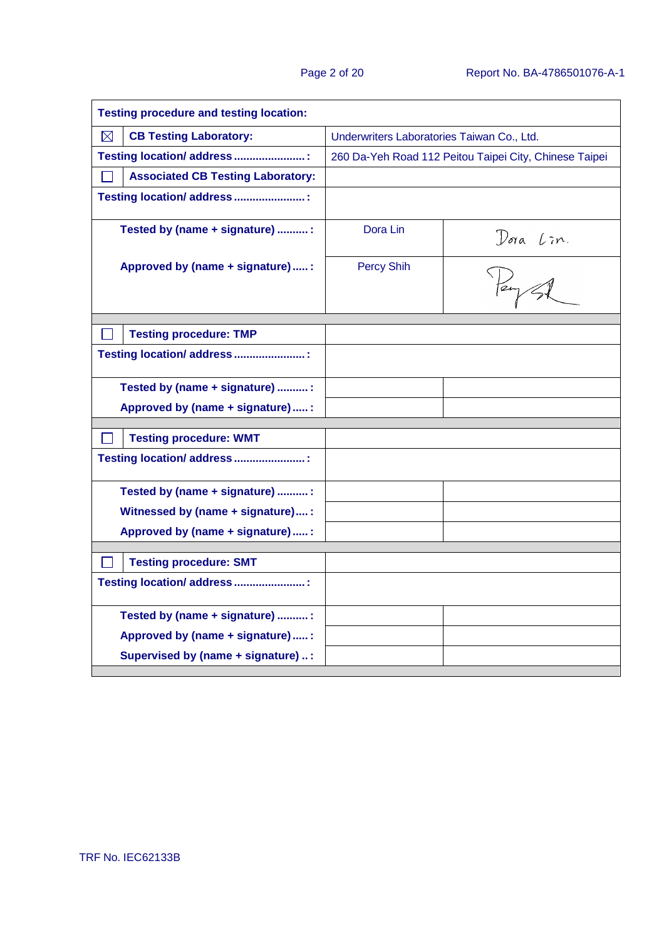| <b>Testing procedure and testing location:</b> |                                            |                                                        |  |  |
|------------------------------------------------|--------------------------------------------|--------------------------------------------------------|--|--|
| $\boxtimes$<br><b>CB Testing Laboratory:</b>   | Underwriters Laboratories Taiwan Co., Ltd. |                                                        |  |  |
| Testing location/ address :                    |                                            | 260 Da-Yeh Road 112 Peitou Taipei City, Chinese Taipei |  |  |
| <b>Associated CB Testing Laboratory:</b>       |                                            |                                                        |  |  |
| Testing location/ address :                    |                                            |                                                        |  |  |
| Tested by (name + signature) :                 | Dora Lin                                   |                                                        |  |  |
| Approved by (name + signature)  :              | <b>Percy Shih</b>                          | Dora Lin.<br>Peup A                                    |  |  |
| <b>Testing procedure: TMP</b>                  |                                            |                                                        |  |  |
| Testing location/ address :                    |                                            |                                                        |  |  |
| Tested by (name + signature) :                 |                                            |                                                        |  |  |
| Approved by (name + signature) :               |                                            |                                                        |  |  |
|                                                |                                            |                                                        |  |  |
| <b>Testing procedure: WMT</b>                  |                                            |                                                        |  |  |
| Testing location/ address :                    |                                            |                                                        |  |  |
| Tested by (name + signature) :                 |                                            |                                                        |  |  |
| Witnessed by (name + signature):               |                                            |                                                        |  |  |
| Approved by (name + signature) :               |                                            |                                                        |  |  |
|                                                |                                            |                                                        |  |  |
| <b>Testing procedure: SMT</b>                  |                                            |                                                        |  |  |
| Testing location/ address :                    |                                            |                                                        |  |  |
| Tested by (name + signature) :                 |                                            |                                                        |  |  |
| Approved by (name + signature)  :              |                                            |                                                        |  |  |
| Supervised by (name + signature) :             |                                            |                                                        |  |  |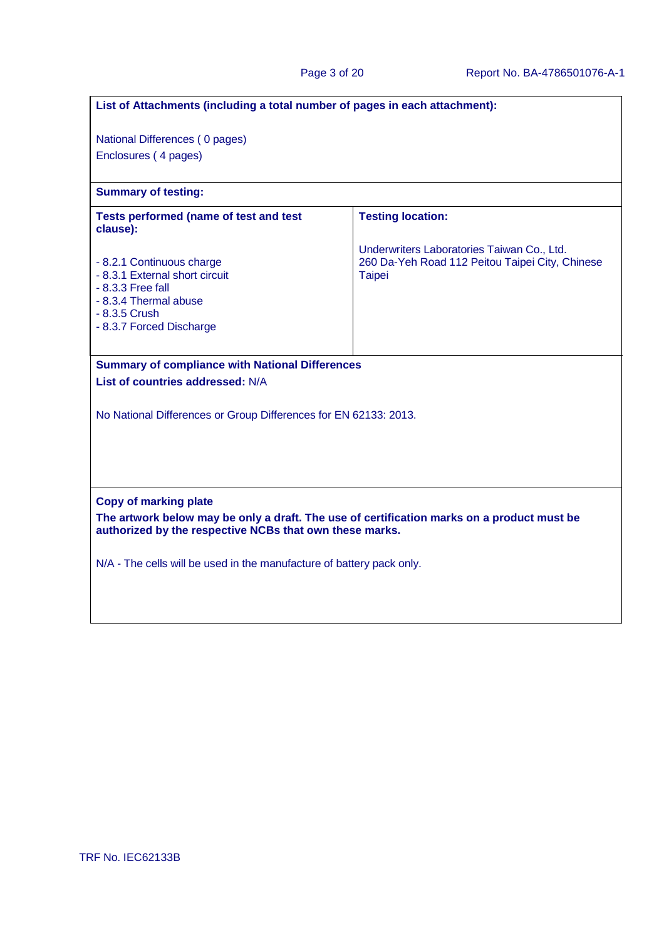| List of Attachments (including a total number of pages in each attachment):                                                                             |                                                                                                                |  |  |
|---------------------------------------------------------------------------------------------------------------------------------------------------------|----------------------------------------------------------------------------------------------------------------|--|--|
| National Differences (0 pages)                                                                                                                          |                                                                                                                |  |  |
| Enclosures (4 pages)                                                                                                                                    |                                                                                                                |  |  |
| <b>Summary of testing:</b>                                                                                                                              |                                                                                                                |  |  |
| <b>Tests performed (name of test and test</b><br>clause):                                                                                               | <b>Testing location:</b>                                                                                       |  |  |
| - 8.2.1 Continuous charge<br>- 8.3.1 External short circuit<br>$-8.3.3$ Free fall<br>- 8.3.4 Thermal abuse<br>- 8.3.5 Crush<br>- 8.3.7 Forced Discharge | Underwriters Laboratories Taiwan Co., Ltd.<br>260 Da-Yeh Road 112 Peitou Taipei City, Chinese<br><b>Taipei</b> |  |  |
| <b>Summary of compliance with National Differences</b><br>List of countries addressed: N/A                                                              |                                                                                                                |  |  |
|                                                                                                                                                         |                                                                                                                |  |  |
|                                                                                                                                                         | No National Differences or Group Differences for EN 62133: 2013.                                               |  |  |
|                                                                                                                                                         |                                                                                                                |  |  |
|                                                                                                                                                         |                                                                                                                |  |  |
| <b>Copy of marking plate</b>                                                                                                                            |                                                                                                                |  |  |
| The artwork below may be only a draft. The use of certification marks on a product must be<br>authorized by the respective NCBs that own these marks.   |                                                                                                                |  |  |
| N/A - The cells will be used in the manufacture of battery pack only.                                                                                   |                                                                                                                |  |  |
|                                                                                                                                                         |                                                                                                                |  |  |
|                                                                                                                                                         |                                                                                                                |  |  |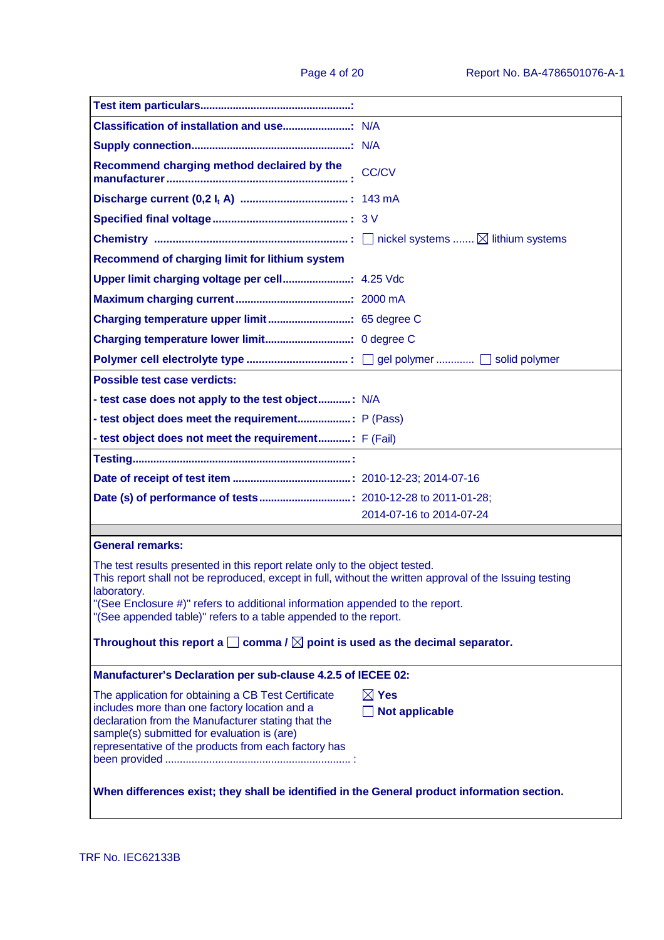| Recommend charging method declaired by the                                                                                                                                                                                                                                                                                                                 | <b>CC/CV</b>                                                                                 |  |  |  |
|------------------------------------------------------------------------------------------------------------------------------------------------------------------------------------------------------------------------------------------------------------------------------------------------------------------------------------------------------------|----------------------------------------------------------------------------------------------|--|--|--|
|                                                                                                                                                                                                                                                                                                                                                            |                                                                                              |  |  |  |
|                                                                                                                                                                                                                                                                                                                                                            |                                                                                              |  |  |  |
|                                                                                                                                                                                                                                                                                                                                                            |                                                                                              |  |  |  |
| Recommend of charging limit for lithium system                                                                                                                                                                                                                                                                                                             |                                                                                              |  |  |  |
|                                                                                                                                                                                                                                                                                                                                                            |                                                                                              |  |  |  |
|                                                                                                                                                                                                                                                                                                                                                            |                                                                                              |  |  |  |
|                                                                                                                                                                                                                                                                                                                                                            |                                                                                              |  |  |  |
|                                                                                                                                                                                                                                                                                                                                                            |                                                                                              |  |  |  |
|                                                                                                                                                                                                                                                                                                                                                            |                                                                                              |  |  |  |
| <b>Possible test case verdicts:</b>                                                                                                                                                                                                                                                                                                                        |                                                                                              |  |  |  |
| - test case does not apply to the test object: N/A                                                                                                                                                                                                                                                                                                         |                                                                                              |  |  |  |
|                                                                                                                                                                                                                                                                                                                                                            |                                                                                              |  |  |  |
| - test object does not meet the requirement F (Fail)                                                                                                                                                                                                                                                                                                       |                                                                                              |  |  |  |
|                                                                                                                                                                                                                                                                                                                                                            |                                                                                              |  |  |  |
|                                                                                                                                                                                                                                                                                                                                                            |                                                                                              |  |  |  |
|                                                                                                                                                                                                                                                                                                                                                            |                                                                                              |  |  |  |
|                                                                                                                                                                                                                                                                                                                                                            | 2014-07-16 to 2014-07-24                                                                     |  |  |  |
| <b>General remarks:</b>                                                                                                                                                                                                                                                                                                                                    |                                                                                              |  |  |  |
| The test results presented in this report relate only to the object tested.<br>This report shall not be reproduced, except in full, without the written approval of the Issuing testing<br>laboratory.<br>"(See Enclosure #)" refers to additional information appended to the report.<br>"(See appended table)" refers to a table appended to the report. |                                                                                              |  |  |  |
|                                                                                                                                                                                                                                                                                                                                                            | Throughout this report a $\square$ comma / $\square$ point is used as the decimal separator. |  |  |  |
| Manufacturer's Declaration per sub-clause 4.2.5 of IECEE 02:                                                                                                                                                                                                                                                                                               |                                                                                              |  |  |  |
| The application for obtaining a CB Test Certificate<br>includes more than one factory location and a<br>declaration from the Manufacturer stating that the<br>sample(s) submitted for evaluation is (are)<br>representative of the products from each factory has                                                                                          | $\boxtimes$ Yes<br><b>Not applicable</b>                                                     |  |  |  |
| When differences exist; they shall be identified in the General product information section.                                                                                                                                                                                                                                                               |                                                                                              |  |  |  |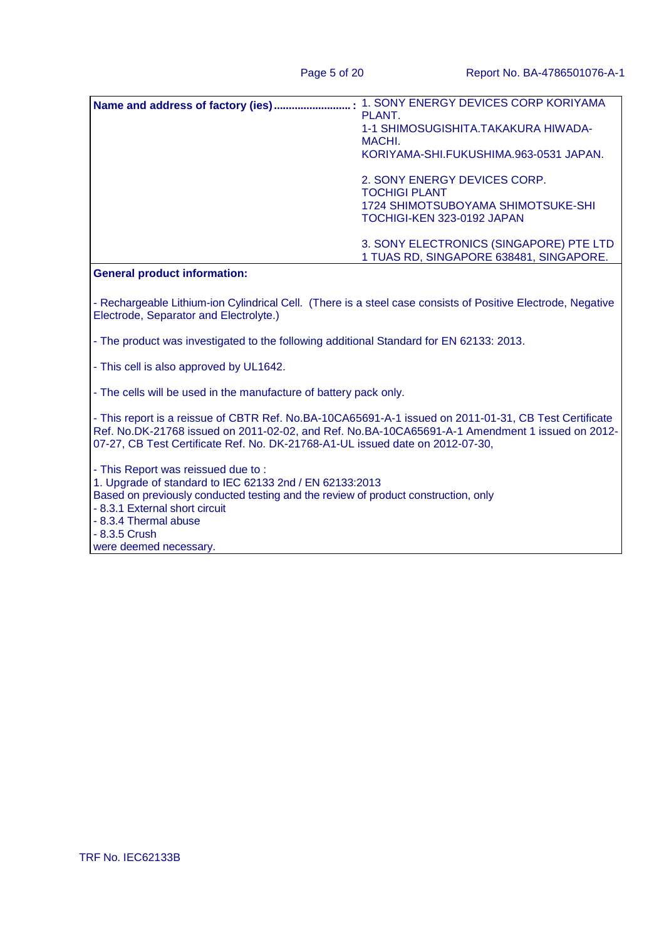| . 1. SONY ENERGY DEVICES CORP KORIYAMA  |
|-----------------------------------------|
| PLANT.                                  |
| 1-1 SHIMOSUGISHITA.TAKAKURA HIWADA-     |
| MACHI.                                  |
| KORIYAMA-SHI.FUKUSHIMA.963-0531 JAPAN.  |
| 2. SONY ENERGY DEVICES CORP.            |
| <b>TOCHIGI PLANT</b>                    |
| 1724 SHIMOTSUBOYAMA SHIMOTSUKE-SHI      |
| TOCHIGI-KEN 323-0192 JAPAN              |
| 3. SONY ELECTRONICS (SINGAPORE) PTE LTD |
| 1 TUAS RD, SINGAPORE 638481, SINGAPORE. |

#### **General product information:**

- Rechargeable Lithium-ion Cylindrical Cell. (There is a steel case consists of Positive Electrode, Negative Electrode, Separator and Electrolyte.)

- The product was investigated to the following additional Standard for EN 62133: 2013.

- This cell is also approved by UL1642.

- The cells will be used in the manufacture of battery pack only.

- This report is a reissue of CBTR Ref. No.BA-10CA65691-A-1 issued on 2011-01-31, CB Test Certificate Ref. No.DK-21768 issued on 2011-02-02, and Ref. No.BA-10CA65691-A-1 Amendment 1 issued on 2012- 07-27, CB Test Certificate Ref. No. DK-21768-A1-UL issued date on 2012-07-30,

- This Report was reissued due to : 1. Upgrade of standard to IEC 62133 2nd / EN 62133:2013 Based on previously conducted testing and the review of product construction, only - 8.3.1 External short circuit - 8.3.4 Thermal abuse - 8.3.5 Crush were deemed necessary.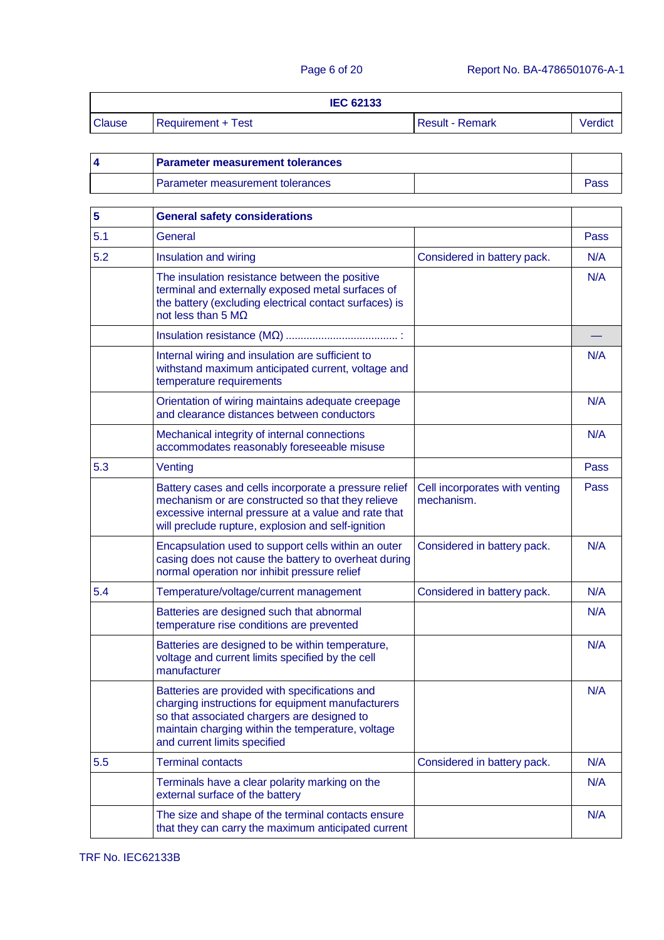| <b>IEC 62133</b> |                    |                        |         |
|------------------|--------------------|------------------------|---------|
| <b>Clause</b>    | Requirement + Test | <b>Result - Remark</b> | Verdict |

| <b>Parameter measurement tolerances</b> |  |      |
|-----------------------------------------|--|------|
| Parameter measurement tolerances        |  | ass: |

| 5   | <b>General safety considerations</b>                                                                                                                                                                                                    |                                              |      |
|-----|-----------------------------------------------------------------------------------------------------------------------------------------------------------------------------------------------------------------------------------------|----------------------------------------------|------|
| 5.1 | General                                                                                                                                                                                                                                 |                                              | Pass |
| 5.2 | Insulation and wiring                                                                                                                                                                                                                   | Considered in battery pack.                  | N/A  |
|     | The insulation resistance between the positive<br>terminal and externally exposed metal surfaces of<br>the battery (excluding electrical contact surfaces) is<br>not less than 5 $M\Omega$                                              |                                              | N/A  |
|     |                                                                                                                                                                                                                                         |                                              |      |
|     | Internal wiring and insulation are sufficient to<br>withstand maximum anticipated current, voltage and<br>temperature requirements                                                                                                      |                                              | N/A  |
|     | Orientation of wiring maintains adequate creepage<br>and clearance distances between conductors                                                                                                                                         |                                              | N/A  |
|     | Mechanical integrity of internal connections<br>accommodates reasonably foreseeable misuse                                                                                                                                              |                                              | N/A  |
| 5.3 | Venting                                                                                                                                                                                                                                 |                                              | Pass |
|     | Battery cases and cells incorporate a pressure relief<br>mechanism or are constructed so that they relieve<br>excessive internal pressure at a value and rate that<br>will preclude rupture, explosion and self-ignition                | Cell incorporates with venting<br>mechanism. | Pass |
|     | Encapsulation used to support cells within an outer<br>casing does not cause the battery to overheat during<br>normal operation nor inhibit pressure relief                                                                             | Considered in battery pack.                  | N/A  |
| 5.4 | Temperature/voltage/current management                                                                                                                                                                                                  | Considered in battery pack.                  | N/A  |
|     | Batteries are designed such that abnormal<br>temperature rise conditions are prevented                                                                                                                                                  |                                              | N/A  |
|     | Batteries are designed to be within temperature,<br>voltage and current limits specified by the cell<br>manufacturer                                                                                                                    |                                              | N/A  |
|     | Batteries are provided with specifications and<br>charging instructions for equipment manufacturers<br>so that associated chargers are designed to<br>maintain charging within the temperature, voltage<br>and current limits specified |                                              | N/A  |
| 5.5 | <b>Terminal contacts</b>                                                                                                                                                                                                                | Considered in battery pack.                  | N/A  |
|     | Terminals have a clear polarity marking on the<br>external surface of the battery                                                                                                                                                       |                                              | N/A  |
|     | The size and shape of the terminal contacts ensure<br>that they can carry the maximum anticipated current                                                                                                                               |                                              | N/A  |

TRF No. IEC62133B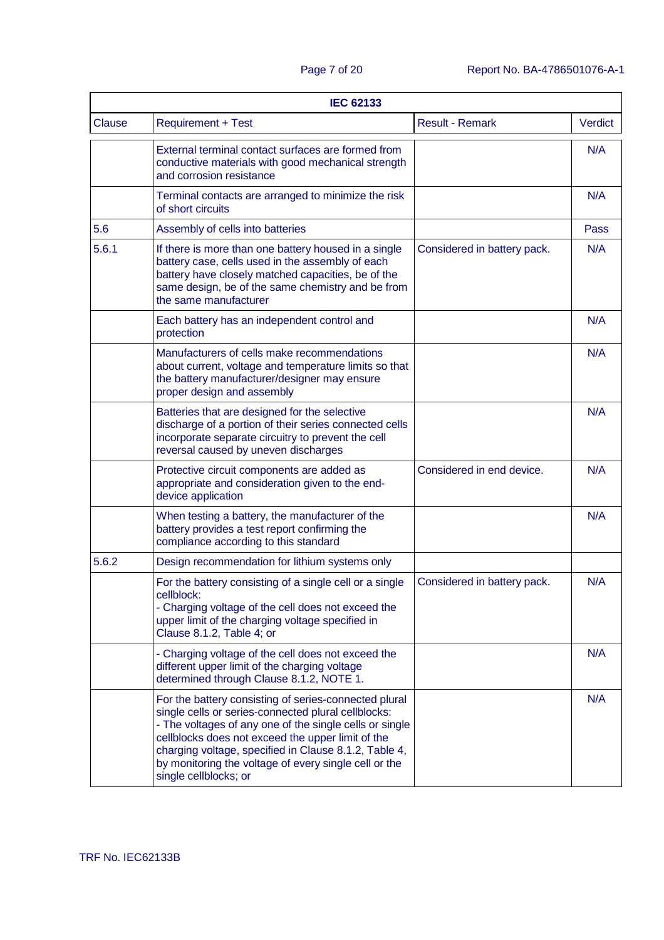|        | <b>IEC 62133</b>                                                                                                                                                                                                                                                                                                                                                        |                             |         |  |
|--------|-------------------------------------------------------------------------------------------------------------------------------------------------------------------------------------------------------------------------------------------------------------------------------------------------------------------------------------------------------------------------|-----------------------------|---------|--|
| Clause | <b>Requirement + Test</b>                                                                                                                                                                                                                                                                                                                                               | <b>Result - Remark</b>      | Verdict |  |
|        | External terminal contact surfaces are formed from<br>conductive materials with good mechanical strength<br>and corrosion resistance                                                                                                                                                                                                                                    |                             | N/A     |  |
|        | Terminal contacts are arranged to minimize the risk<br>of short circuits                                                                                                                                                                                                                                                                                                |                             | N/A     |  |
| 5.6    | Assembly of cells into batteries                                                                                                                                                                                                                                                                                                                                        |                             | Pass    |  |
| 5.6.1  | If there is more than one battery housed in a single<br>battery case, cells used in the assembly of each<br>battery have closely matched capacities, be of the<br>same design, be of the same chemistry and be from<br>the same manufacturer                                                                                                                            | Considered in battery pack. | N/A     |  |
|        | Each battery has an independent control and<br>protection                                                                                                                                                                                                                                                                                                               |                             | N/A     |  |
|        | Manufacturers of cells make recommendations<br>about current, voltage and temperature limits so that<br>the battery manufacturer/designer may ensure<br>proper design and assembly                                                                                                                                                                                      |                             | N/A     |  |
|        | Batteries that are designed for the selective<br>discharge of a portion of their series connected cells<br>incorporate separate circuitry to prevent the cell<br>reversal caused by uneven discharges                                                                                                                                                                   |                             | N/A     |  |
|        | Protective circuit components are added as<br>appropriate and consideration given to the end-<br>device application                                                                                                                                                                                                                                                     | Considered in end device.   | N/A     |  |
|        | When testing a battery, the manufacturer of the<br>battery provides a test report confirming the<br>compliance according to this standard                                                                                                                                                                                                                               |                             | N/A     |  |
| 5.6.2  | Design recommendation for lithium systems only                                                                                                                                                                                                                                                                                                                          |                             |         |  |
|        | For the battery consisting of a single cell or a single<br>cellblock:<br>- Charging voltage of the cell does not exceed the<br>upper limit of the charging voltage specified in<br>Clause 8.1.2, Table 4; or                                                                                                                                                            | Considered in battery pack. | N/A     |  |
|        | - Charging voltage of the cell does not exceed the<br>different upper limit of the charging voltage<br>determined through Clause 8.1.2, NOTE 1.                                                                                                                                                                                                                         |                             | N/A     |  |
|        | For the battery consisting of series-connected plural<br>single cells or series-connected plural cellblocks:<br>- The voltages of any one of the single cells or single<br>cellblocks does not exceed the upper limit of the<br>charging voltage, specified in Clause 8.1.2, Table 4,<br>by monitoring the voltage of every single cell or the<br>single cellblocks; or |                             | N/A     |  |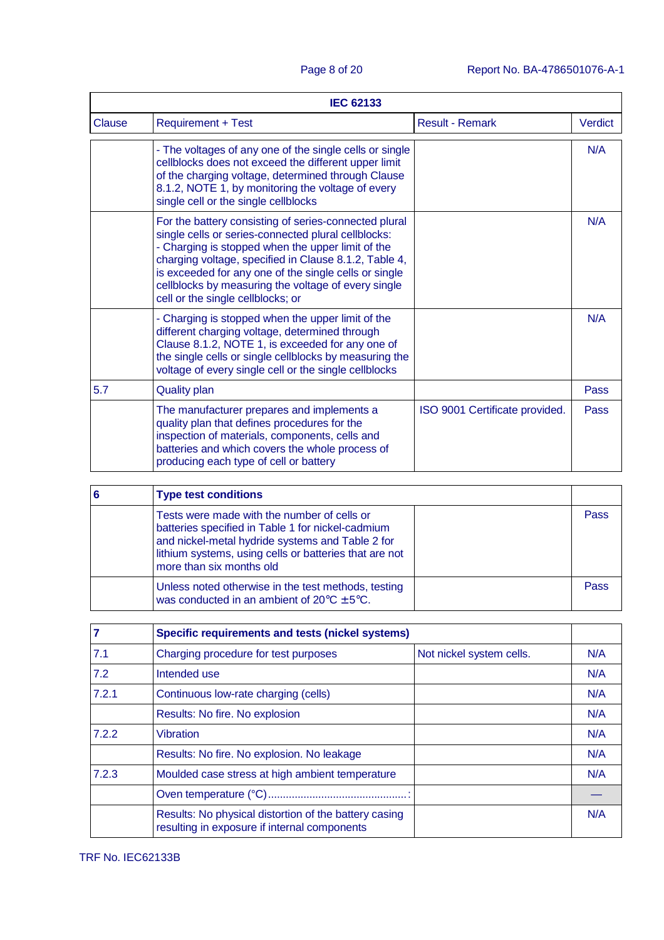|        | <b>IEC 62133</b>                                                                                                                                                                                                                                                                                                                                                                |                                |                |
|--------|---------------------------------------------------------------------------------------------------------------------------------------------------------------------------------------------------------------------------------------------------------------------------------------------------------------------------------------------------------------------------------|--------------------------------|----------------|
| Clause | <b>Requirement + Test</b>                                                                                                                                                                                                                                                                                                                                                       | <b>Result - Remark</b>         | <b>Verdict</b> |
|        | - The voltages of any one of the single cells or single<br>cellblocks does not exceed the different upper limit<br>of the charging voltage, determined through Clause<br>8.1.2, NOTE 1, by monitoring the voltage of every<br>single cell or the single cellblocks                                                                                                              |                                | N/A            |
|        | For the battery consisting of series-connected plural<br>single cells or series-connected plural cellblocks:<br>- Charging is stopped when the upper limit of the<br>charging voltage, specified in Clause 8.1.2, Table 4,<br>is exceeded for any one of the single cells or single<br>cellblocks by measuring the voltage of every single<br>cell or the single cellblocks; or |                                | N/A            |
|        | - Charging is stopped when the upper limit of the<br>different charging voltage, determined through<br>Clause 8.1.2, NOTE 1, is exceeded for any one of<br>the single cells or single cellblocks by measuring the<br>voltage of every single cell or the single cellblocks                                                                                                      |                                | N/A            |
| 5.7    | <b>Quality plan</b>                                                                                                                                                                                                                                                                                                                                                             |                                | Pass           |
|        | The manufacturer prepares and implements a<br>quality plan that defines procedures for the<br>inspection of materials, components, cells and<br>batteries and which covers the whole process of<br>producing each type of cell or battery                                                                                                                                       | ISO 9001 Certificate provided. | Pass           |

| 6 | <b>Type test conditions</b>                                                                                                                                                                                                                |      |
|---|--------------------------------------------------------------------------------------------------------------------------------------------------------------------------------------------------------------------------------------------|------|
|   | Tests were made with the number of cells or<br>batteries specified in Table 1 for nickel-cadmium<br>and nickel-metal hydride systems and Table 2 for<br>lithium systems, using cells or batteries that are not<br>more than six months old | Pass |
|   | Unless noted otherwise in the test methods, testing<br>was conducted in an ambient of $20^{\circ}C \pm 5^{\circ}C$ .                                                                                                                       | Pass |

|       | Specific requirements and tests (nickel systems)                                                      |                          |     |
|-------|-------------------------------------------------------------------------------------------------------|--------------------------|-----|
| 7.1   | Charging procedure for test purposes                                                                  | Not nickel system cells. | N/A |
| 7.2   | Intended use                                                                                          |                          | N/A |
| 7.2.1 | Continuous low-rate charging (cells)                                                                  |                          | N/A |
|       | Results: No fire. No explosion                                                                        |                          | N/A |
| 7.2.2 | Vibration                                                                                             |                          | N/A |
|       | Results: No fire. No explosion. No leakage                                                            |                          | N/A |
| 7.2.3 | Moulded case stress at high ambient temperature                                                       |                          | N/A |
|       |                                                                                                       |                          |     |
|       | Results: No physical distortion of the battery casing<br>resulting in exposure if internal components |                          | N/A |

TRF No. IEC62133B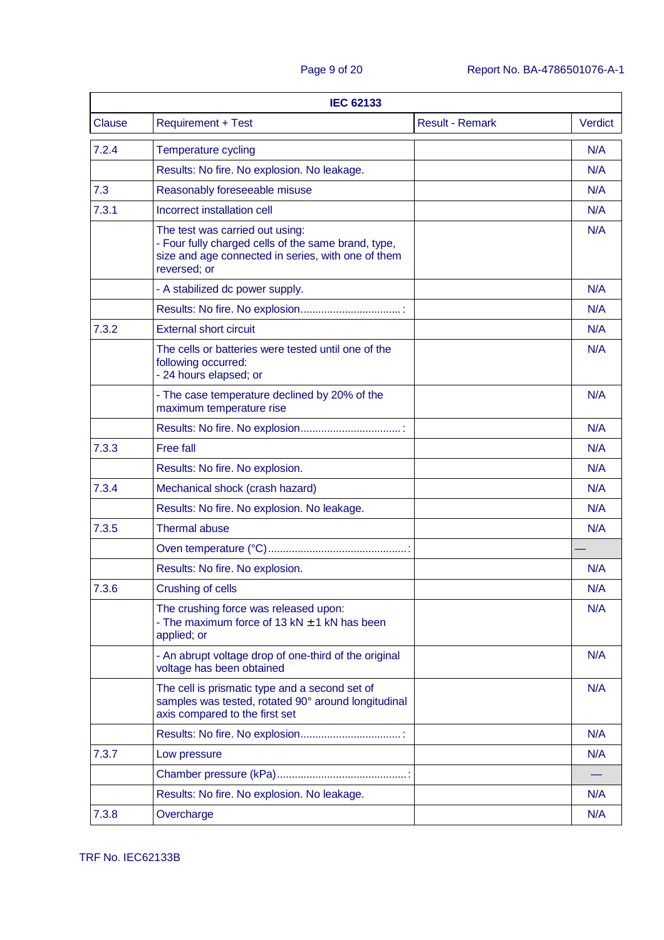| <b>IEC 62133</b> |                                                                                                                                                              |                        |                |
|------------------|--------------------------------------------------------------------------------------------------------------------------------------------------------------|------------------------|----------------|
| <b>Clause</b>    | <b>Requirement + Test</b>                                                                                                                                    | <b>Result - Remark</b> | <b>Verdict</b> |
| 7.2.4            | <b>Temperature cycling</b>                                                                                                                                   |                        | N/A            |
|                  | Results: No fire. No explosion. No leakage.                                                                                                                  |                        | N/A            |
| 7.3              | Reasonably foreseeable misuse                                                                                                                                |                        | N/A            |
| 7.3.1            | Incorrect installation cell                                                                                                                                  |                        | N/A            |
|                  | The test was carried out using:<br>- Four fully charged cells of the same brand, type,<br>size and age connected in series, with one of them<br>reversed; or |                        | N/A            |
|                  | - A stabilized dc power supply.                                                                                                                              |                        | N/A            |
|                  |                                                                                                                                                              |                        | N/A            |
| 7.3.2            | <b>External short circuit</b>                                                                                                                                |                        | N/A            |
|                  | The cells or batteries were tested until one of the<br>following occurred:<br>- 24 hours elapsed; or                                                         |                        | N/A            |
|                  | - The case temperature declined by 20% of the<br>maximum temperature rise                                                                                    |                        | N/A            |
|                  |                                                                                                                                                              |                        | N/A            |
| 7.3.3            | <b>Free fall</b>                                                                                                                                             |                        | N/A            |
|                  | Results: No fire. No explosion.                                                                                                                              |                        | N/A            |
| 7.3.4            | Mechanical shock (crash hazard)                                                                                                                              |                        | N/A            |
|                  | Results: No fire. No explosion. No leakage.                                                                                                                  |                        | N/A            |
| 7.3.5            | <b>Thermal abuse</b>                                                                                                                                         |                        | N/A            |
|                  |                                                                                                                                                              |                        |                |
|                  | Results: No fire. No explosion.                                                                                                                              |                        | N/A            |
| 7.3.6            | Crushing of cells                                                                                                                                            |                        | N/A            |
|                  | The crushing force was released upon:<br>- The maximum force of $13$ kN $\pm$ 1 kN has been<br>applied; or                                                   |                        | N/A            |
|                  | - An abrupt voltage drop of one-third of the original<br>voltage has been obtained                                                                           |                        | N/A            |
|                  | The cell is prismatic type and a second set of<br>samples was tested, rotated 90° around longitudinal<br>axis compared to the first set                      |                        | N/A            |
|                  |                                                                                                                                                              |                        | N/A            |
| 7.3.7            | Low pressure                                                                                                                                                 |                        | N/A            |
|                  |                                                                                                                                                              |                        |                |
|                  | Results: No fire. No explosion. No leakage.                                                                                                                  |                        | N/A            |
| 7.3.8            | Overcharge                                                                                                                                                   |                        | N/A            |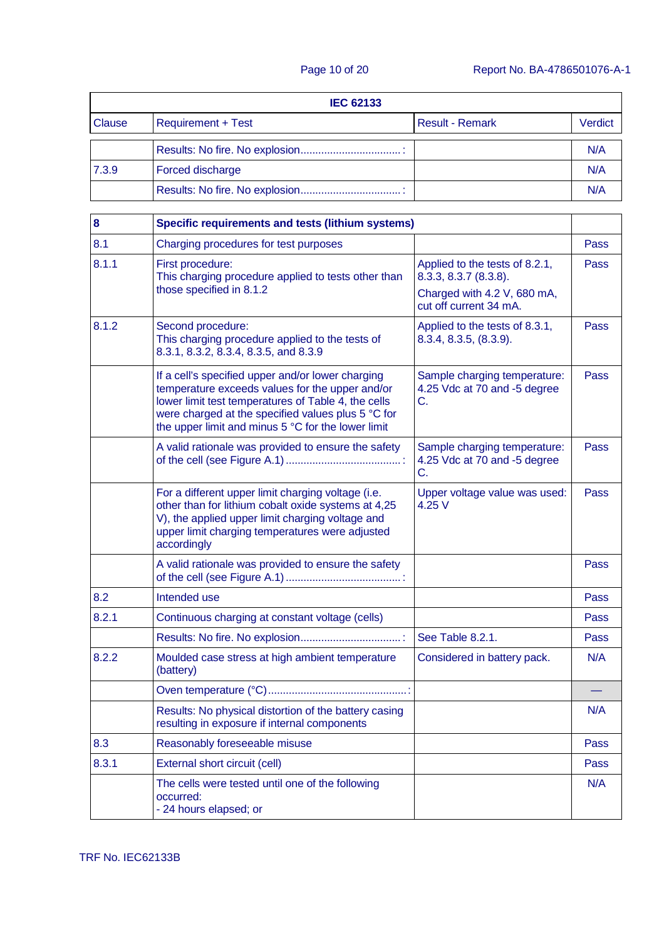|               | <b>IEC 62133</b>          |                        |         |  |
|---------------|---------------------------|------------------------|---------|--|
| <b>Clause</b> | <b>Requirement + Test</b> | <b>Result - Remark</b> | Verdict |  |
|               |                           |                        | N/A     |  |
| 7.3.9         | Forced discharge          |                        | N/A     |  |
|               |                           |                        | N/A     |  |

| 8     | <b>Specific requirements and tests (lithium systems)</b>                                                                                                                                                                                                                |                                                                    |      |
|-------|-------------------------------------------------------------------------------------------------------------------------------------------------------------------------------------------------------------------------------------------------------------------------|--------------------------------------------------------------------|------|
| 8.1   | Charging procedures for test purposes                                                                                                                                                                                                                                   |                                                                    | Pass |
| 8.1.1 | First procedure:<br>This charging procedure applied to tests other than                                                                                                                                                                                                 | Applied to the tests of 8.2.1,<br>8.3.3, 8.3.7 (8.3.8).            | Pass |
|       | those specified in 8.1.2                                                                                                                                                                                                                                                | Charged with 4.2 V, 680 mA,<br>cut off current 34 mA.              |      |
| 8.1.2 | Second procedure:<br>This charging procedure applied to the tests of<br>8.3.1, 8.3.2, 8.3.4, 8.3.5, and 8.3.9                                                                                                                                                           | Applied to the tests of 8.3.1,<br>8.3.4, 8.3.5, (8.3.9).           | Pass |
|       | If a cell's specified upper and/or lower charging<br>temperature exceeds values for the upper and/or<br>lower limit test temperatures of Table 4, the cells<br>were charged at the specified values plus 5 °C for<br>the upper limit and minus 5 °C for the lower limit | Sample charging temperature:<br>4.25 Vdc at 70 and -5 degree<br>C. | Pass |
|       | A valid rationale was provided to ensure the safety                                                                                                                                                                                                                     | Sample charging temperature:<br>4.25 Vdc at 70 and -5 degree<br>C. | Pass |
|       | For a different upper limit charging voltage (i.e.<br>other than for lithium cobalt oxide systems at 4,25<br>V), the applied upper limit charging voltage and<br>upper limit charging temperatures were adjusted<br>accordingly                                         | Upper voltage value was used:<br>4.25V                             | Pass |
|       | A valid rationale was provided to ensure the safety                                                                                                                                                                                                                     |                                                                    | Pass |
| 8.2   | Intended use                                                                                                                                                                                                                                                            |                                                                    | Pass |
| 8.2.1 | Continuous charging at constant voltage (cells)                                                                                                                                                                                                                         |                                                                    | Pass |
|       |                                                                                                                                                                                                                                                                         | See Table 8.2.1.                                                   | Pass |
| 8.2.2 | Moulded case stress at high ambient temperature<br>(battery)                                                                                                                                                                                                            | Considered in battery pack.                                        | N/A  |
|       |                                                                                                                                                                                                                                                                         |                                                                    |      |
|       | Results: No physical distortion of the battery casing<br>resulting in exposure if internal components                                                                                                                                                                   |                                                                    | N/A  |
| 8.3   | Reasonably foreseeable misuse                                                                                                                                                                                                                                           |                                                                    | Pass |
| 8.3.1 | External short circuit (cell)                                                                                                                                                                                                                                           |                                                                    | Pass |
|       | The cells were tested until one of the following<br>occurred:<br>- 24 hours elapsed; or                                                                                                                                                                                 |                                                                    | N/A  |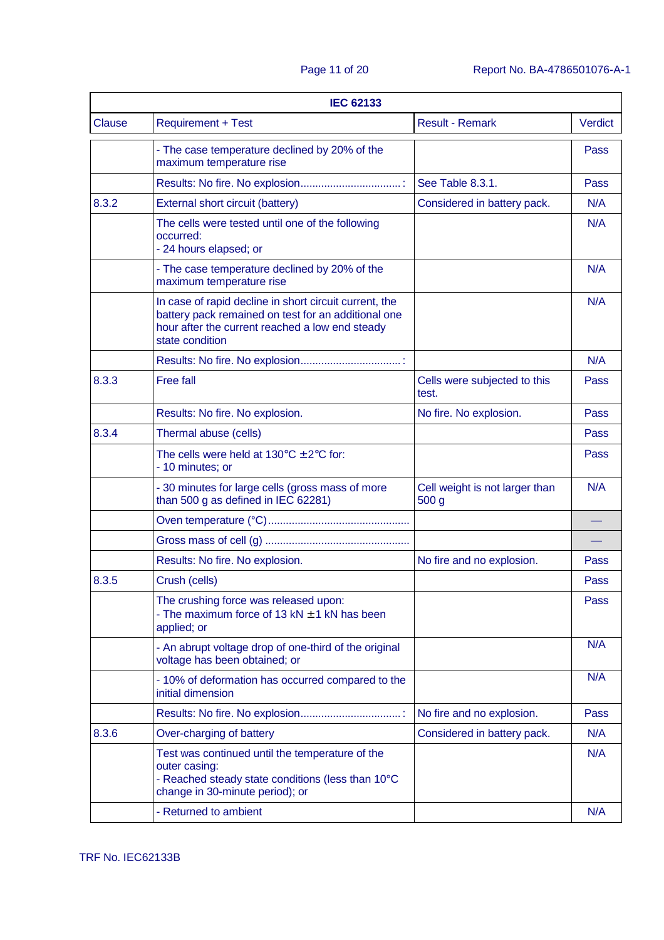| <b>IEC 62133</b> |                                                                                                                                                                                     |                                                    |                |
|------------------|-------------------------------------------------------------------------------------------------------------------------------------------------------------------------------------|----------------------------------------------------|----------------|
| <b>Clause</b>    | <b>Requirement + Test</b>                                                                                                                                                           | <b>Result - Remark</b>                             | <b>Verdict</b> |
|                  | - The case temperature declined by 20% of the<br>maximum temperature rise                                                                                                           |                                                    | Pass           |
|                  |                                                                                                                                                                                     | See Table 8.3.1.                                   | Pass           |
| 8.3.2            | External short circuit (battery)                                                                                                                                                    | Considered in battery pack.                        | N/A            |
|                  | The cells were tested until one of the following<br>occurred:<br>- 24 hours elapsed; or                                                                                             |                                                    | N/A            |
|                  | - The case temperature declined by 20% of the<br>maximum temperature rise                                                                                                           |                                                    | N/A            |
|                  | In case of rapid decline in short circuit current, the<br>battery pack remained on test for an additional one<br>hour after the current reached a low end steady<br>state condition |                                                    | N/A            |
|                  |                                                                                                                                                                                     |                                                    | N/A            |
| 8.3.3            | <b>Free fall</b>                                                                                                                                                                    | Cells were subjected to this<br>test.              | Pass           |
|                  | Results: No fire. No explosion.                                                                                                                                                     | No fire. No explosion.                             | Pass           |
| 8.3.4            | Thermal abuse (cells)                                                                                                                                                               |                                                    | Pass           |
|                  | The cells were held at $130^{\circ}$ C $\pm$ 2°C for:<br>- 10 minutes; or                                                                                                           |                                                    | Pass           |
|                  | - 30 minutes for large cells (gross mass of more<br>than 500 g as defined in IEC 62281)                                                                                             | Cell weight is not larger than<br>500 <sub>g</sub> | N/A            |
|                  |                                                                                                                                                                                     |                                                    |                |
|                  |                                                                                                                                                                                     |                                                    |                |
|                  | Results: No fire. No explosion.                                                                                                                                                     | No fire and no explosion.                          | Pass           |
| 8.3.5            | Crush (cells)                                                                                                                                                                       |                                                    | Pass           |
|                  | The crushing force was released upon:<br>- The maximum force of $13$ kN $\pm$ 1 kN has been<br>applied; or                                                                          |                                                    | Pass           |
|                  | - An abrupt voltage drop of one-third of the original<br>voltage has been obtained; or                                                                                              |                                                    | N/A            |
|                  | - 10% of deformation has occurred compared to the<br>initial dimension                                                                                                              |                                                    | N/A            |
|                  |                                                                                                                                                                                     | No fire and no explosion.                          | Pass           |
| 8.3.6            | Over-charging of battery                                                                                                                                                            | Considered in battery pack.                        | N/A            |
|                  | Test was continued until the temperature of the<br>outer casing:<br>- Reached steady state conditions (less than 10°C<br>change in 30-minute period); or                            |                                                    | N/A            |
|                  | - Returned to ambient                                                                                                                                                               |                                                    | N/A            |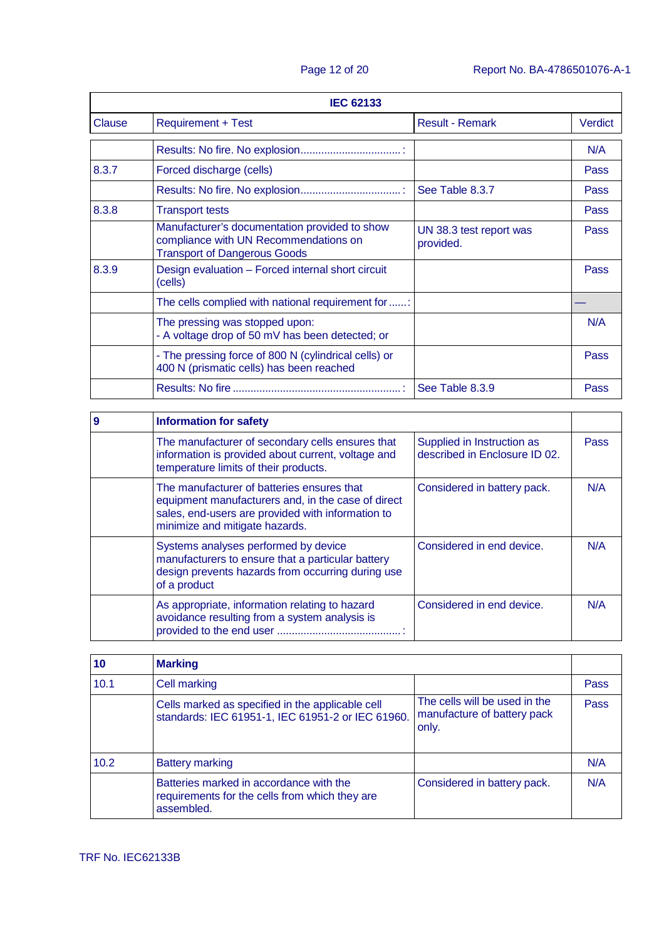|        | <b>IEC 62133</b>                                                                                                              |                                      |                |  |
|--------|-------------------------------------------------------------------------------------------------------------------------------|--------------------------------------|----------------|--|
| Clause | <b>Requirement + Test</b>                                                                                                     | <b>Result - Remark</b>               | <b>Verdict</b> |  |
|        |                                                                                                                               |                                      | N/A            |  |
| 8.3.7  | Forced discharge (cells)                                                                                                      |                                      | Pass           |  |
|        |                                                                                                                               | See Table 8.3.7                      | Pass           |  |
| 8.3.8  | <b>Transport tests</b>                                                                                                        |                                      | Pass           |  |
|        | Manufacturer's documentation provided to show<br>compliance with UN Recommendations on<br><b>Transport of Dangerous Goods</b> | UN 38.3 test report was<br>provided. | Pass           |  |
| 8.3.9  | Design evaluation - Forced internal short circuit<br>(cells)                                                                  |                                      | Pass           |  |
|        | The cells complied with national requirement for                                                                              |                                      |                |  |
|        | The pressing was stopped upon:<br>- A voltage drop of 50 mV has been detected; or                                             |                                      | N/A            |  |
|        | - The pressing force of 800 N (cylindrical cells) or<br>400 N (prismatic cells) has been reached                              |                                      | Pass           |  |
|        |                                                                                                                               | See Table 8.3.9                      | Pass           |  |

| 9 | <b>Information for safety</b>                                                                                                                                                           |                                                             |             |
|---|-----------------------------------------------------------------------------------------------------------------------------------------------------------------------------------------|-------------------------------------------------------------|-------------|
|   | The manufacturer of secondary cells ensures that<br>information is provided about current, voltage and<br>temperature limits of their products.                                         | Supplied in Instruction as<br>described in Enclosure ID 02. | <b>Pass</b> |
|   | The manufacturer of batteries ensures that<br>equipment manufacturers and, in the case of direct<br>sales, end-users are provided with information to<br>minimize and mitigate hazards. | Considered in battery pack.                                 | N/A         |
|   | Systems analyses performed by device<br>manufacturers to ensure that a particular battery<br>design prevents hazards from occurring during use<br>of a product                          | Considered in end device.                                   | N/A         |
|   | As appropriate, information relating to hazard<br>avoidance resulting from a system analysis is                                                                                         | Considered in end device.                                   | N/A         |

| 10   | <b>Marking</b>                                                                                          |                                                                       |      |
|------|---------------------------------------------------------------------------------------------------------|-----------------------------------------------------------------------|------|
| 10.1 | Cell marking                                                                                            |                                                                       | Pass |
|      | Cells marked as specified in the applicable cell<br>standards: IEC 61951-1, IEC 61951-2 or IEC 61960.   | The cells will be used in the<br>manufacture of battery pack<br>only. | Pass |
| 10.2 | <b>Battery marking</b>                                                                                  |                                                                       | N/A  |
|      | Batteries marked in accordance with the<br>requirements for the cells from which they are<br>assembled. | Considered in battery pack.                                           | N/A  |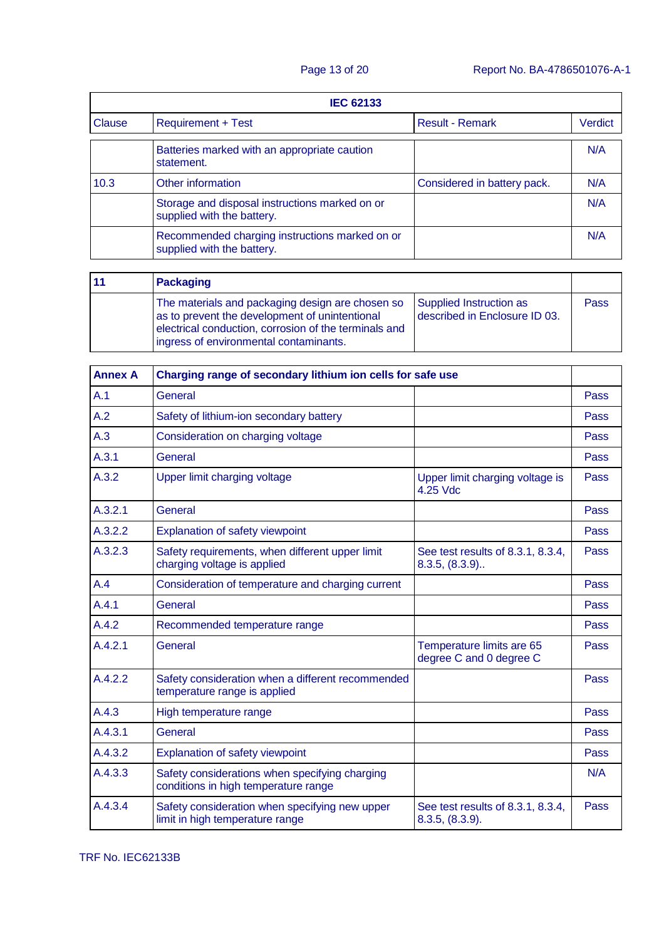|        | <b>IEC 62133</b>                                                             |                             |         |  |
|--------|------------------------------------------------------------------------------|-----------------------------|---------|--|
| Clause | <b>Requirement + Test</b>                                                    | <b>Result - Remark</b>      | Verdict |  |
|        | Batteries marked with an appropriate caution<br>statement.                   |                             | N/A     |  |
| 10.3   | Other information                                                            | Considered in battery pack. | N/A     |  |
|        | Storage and disposal instructions marked on or<br>supplied with the battery. |                             | N/A     |  |
|        | Recommended charging instructions marked on or<br>supplied with the battery. |                             | N/A     |  |

| Packaging                                                                                                                                                                                             |                                                          |      |
|-------------------------------------------------------------------------------------------------------------------------------------------------------------------------------------------------------|----------------------------------------------------------|------|
| The materials and packaging design are chosen so<br>as to prevent the development of unintentional<br>electrical conduction, corrosion of the terminals and<br>ingress of environmental contaminants. | Supplied Instruction as<br>described in Enclosure ID 03. | Pass |

| <b>Annex A</b> | Charging range of secondary lithium ion cells for safe use                             |                                                       |      |
|----------------|----------------------------------------------------------------------------------------|-------------------------------------------------------|------|
| A.1            | General                                                                                |                                                       | Pass |
| A.2            | Safety of lithium-ion secondary battery                                                |                                                       | Pass |
| A.3            | Consideration on charging voltage                                                      |                                                       | Pass |
| A.3.1          | General                                                                                |                                                       | Pass |
| A.3.2          | Upper limit charging voltage                                                           | Upper limit charging voltage is<br>4.25 Vdc           | Pass |
| A.3.2.1        | General                                                                                |                                                       | Pass |
| A.3.2.2        | Explanation of safety viewpoint                                                        |                                                       | Pass |
| A.3.2.3        | Safety requirements, when different upper limit<br>charging voltage is applied         | See test results of 8.3.1, 8.3.4,<br>$8.3.5, (8.3.9)$ | Pass |
| A.4            | Consideration of temperature and charging current                                      |                                                       | Pass |
| A.4.1          | General                                                                                |                                                       | Pass |
| A.4.2          | Recommended temperature range                                                          |                                                       | Pass |
| A.4.2.1        | General                                                                                | Temperature limits are 65<br>degree C and 0 degree C  | Pass |
| A.4.2.2        | Safety consideration when a different recommended<br>temperature range is applied      |                                                       | Pass |
| A.4.3          | High temperature range                                                                 |                                                       | Pass |
| A.4.3.1        | General                                                                                |                                                       | Pass |
| A.4.3.2        | Explanation of safety viewpoint                                                        |                                                       | Pass |
| A.4.3.3        | Safety considerations when specifying charging<br>conditions in high temperature range |                                                       | N/A  |
| A.4.3.4        | Safety consideration when specifying new upper<br>limit in high temperature range      | See test results of 8.3.1, 8.3.4,<br>8.3.5, (8.3.9).  | Pass |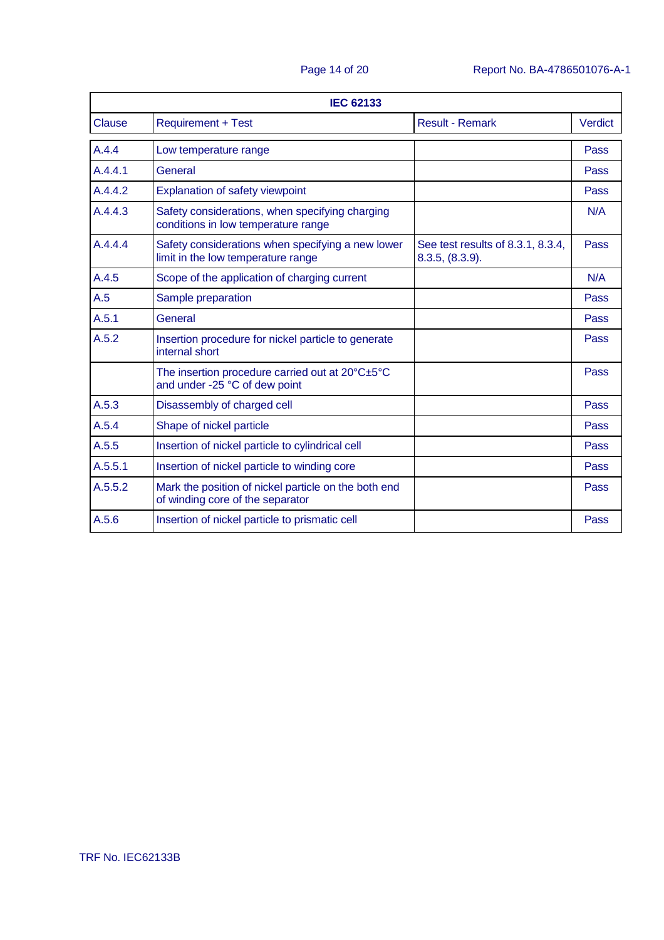|         | <b>IEC 62133</b>                                                                         |                                                      |                |  |
|---------|------------------------------------------------------------------------------------------|------------------------------------------------------|----------------|--|
| Clause  | <b>Requirement + Test</b>                                                                | <b>Result - Remark</b>                               | <b>Verdict</b> |  |
| A.4.4   | Low temperature range                                                                    |                                                      | Pass           |  |
| A.4.4.1 | General                                                                                  |                                                      | Pass           |  |
| A.4.4.2 | Explanation of safety viewpoint                                                          |                                                      | Pass           |  |
| A.4.4.3 | Safety considerations, when specifying charging<br>conditions in low temperature range   |                                                      | N/A            |  |
| A.4.4.4 | Safety considerations when specifying a new lower<br>limit in the low temperature range  | See test results of 8.3.1, 8.3.4,<br>8.3.5, (8.3.9). | Pass           |  |
| A.4.5   | Scope of the application of charging current                                             |                                                      | N/A            |  |
| A.5     | Sample preparation                                                                       |                                                      | Pass           |  |
| A.5.1   | General                                                                                  |                                                      | Pass           |  |
| A.5.2   | Insertion procedure for nickel particle to generate<br>internal short                    |                                                      | Pass           |  |
|         | The insertion procedure carried out at 20°C±5°C<br>and under -25 °C of dew point         |                                                      | Pass           |  |
| A.5.3   | Disassembly of charged cell                                                              |                                                      | Pass           |  |
| A.5.4   | Shape of nickel particle                                                                 |                                                      | Pass           |  |
| A.5.5   | Insertion of nickel particle to cylindrical cell                                         |                                                      | Pass           |  |
| A.5.5.1 | Insertion of nickel particle to winding core                                             |                                                      | Pass           |  |
| A.5.5.2 | Mark the position of nickel particle on the both end<br>of winding core of the separator |                                                      | Pass           |  |
| A.5.6   | Insertion of nickel particle to prismatic cell                                           |                                                      | Pass           |  |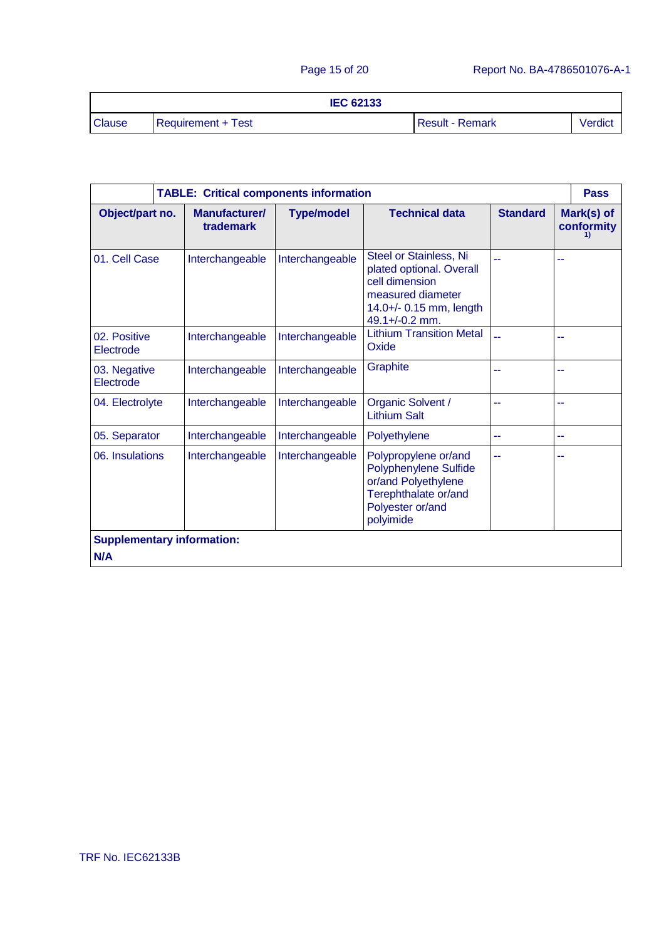| <b>IEC 62133</b> |                    |                 |        |
|------------------|--------------------|-----------------|--------|
| <b>Clause</b>    | Requirement + Test | Result - Remark | Verdic |

|                                   |                            | <b>TABLE: Critical components information</b> |                                                                                                                                        |                 |    | <b>Pass</b>              |
|-----------------------------------|----------------------------|-----------------------------------------------|----------------------------------------------------------------------------------------------------------------------------------------|-----------------|----|--------------------------|
| Object/part no.                   | Manufacturer/<br>trademark | <b>Type/model</b>                             | <b>Technical data</b>                                                                                                                  | <b>Standard</b> |    | Mark(s) of<br>conformity |
| 01. Cell Case                     | Interchangeable            | Interchangeable                               | Steel or Stainless, Ni<br>plated optional. Overall<br>cell dimension<br>measured diameter<br>14.0+/- 0.15 mm, length<br>49.1+/-0.2 mm. | --              | -- |                          |
| 02. Positive<br>Electrode         | Interchangeable            | Interchangeable                               | <b>Lithium Transition Metal</b><br>Oxide                                                                                               |                 | -- |                          |
| 03. Negative<br>Electrode         | Interchangeable            | Interchangeable                               | Graphite                                                                                                                               | --              | -- |                          |
| 04. Electrolyte                   | Interchangeable            | Interchangeable                               | Organic Solvent /<br><b>Lithium Salt</b>                                                                                               | 44              | -- |                          |
| 05. Separator                     | Interchangeable            | Interchangeable                               | Polyethylene                                                                                                                           | --              | -- |                          |
| 06. Insulations                   | Interchangeable            | Interchangeable                               | Polypropylene or/and<br>Polyphenylene Sulfide<br>or/and Polyethylene<br>Terephthalate or/and<br>Polyester or/and<br>polyimide          | --              | ۰. |                          |
| <b>Supplementary information:</b> |                            |                                               |                                                                                                                                        |                 |    |                          |
| N/A                               |                            |                                               |                                                                                                                                        |                 |    |                          |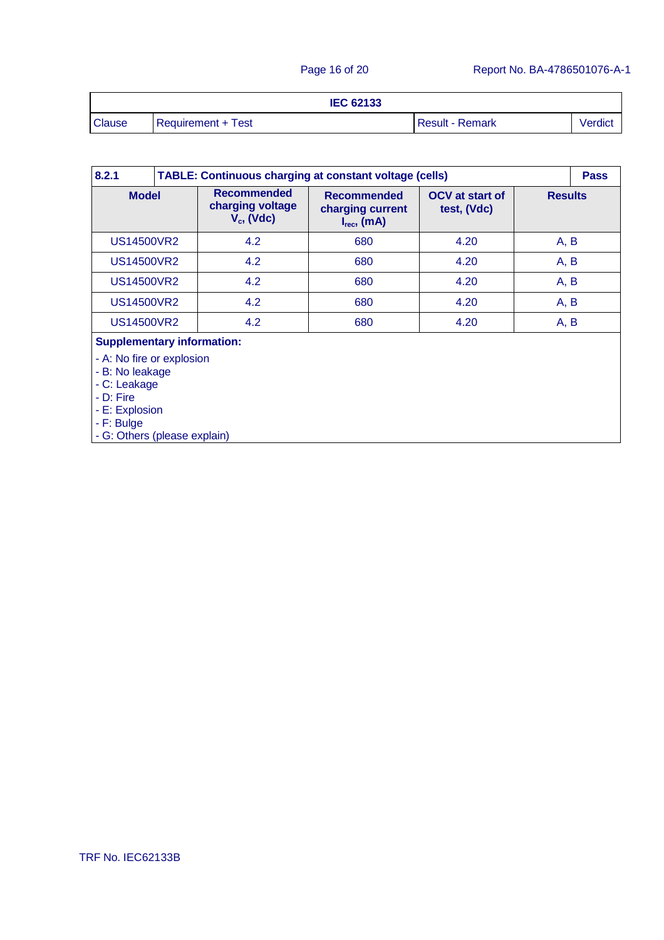|               | <b>IEC 62133</b>   |                        |         |
|---------------|--------------------|------------------------|---------|
| <b>Clause</b> | Requirement + Test | <b>Result - Remark</b> | Verdict |

| 8.2.1                                                                                                                                      |     | <b>TABLE: Continuous charging at constant voltage (cells)</b><br><b>Pass</b> |                                                            |                                       |                |      |
|--------------------------------------------------------------------------------------------------------------------------------------------|-----|------------------------------------------------------------------------------|------------------------------------------------------------|---------------------------------------|----------------|------|
| <b>Model</b>                                                                                                                               |     | <b>Recommended</b><br>charging voltage<br>$V_c$ , (Vdc)                      | <b>Recommended</b><br>charging current<br>$I_{rec}$ , (mA) | <b>OCV</b> at start of<br>test, (Vdc) | <b>Results</b> |      |
| US14500VR2                                                                                                                                 |     | 4.2                                                                          | 680                                                        | 4.20                                  | A, B           |      |
| US14500VR2                                                                                                                                 |     | 4.2                                                                          | 680                                                        | 4.20                                  | A, B           |      |
| <b>US14500VR2</b>                                                                                                                          |     | 4.2                                                                          | 680                                                        | 4.20                                  |                | A, B |
| <b>US14500VR2</b>                                                                                                                          | 4.2 |                                                                              | 680                                                        | 4.20                                  |                | A, B |
| <b>US14500VR2</b>                                                                                                                          |     | 4.2                                                                          | 680                                                        | 4.20                                  | A, B           |      |
| <b>Supplementary information:</b>                                                                                                          |     |                                                                              |                                                            |                                       |                |      |
| - A: No fire or explosion<br>- B: No leakage<br>- C: Leakage<br>$-D:$ Fire<br>- E: Explosion<br>- F: Bulge<br>- G: Others (please explain) |     |                                                                              |                                                            |                                       |                |      |

- G: Others (please explain)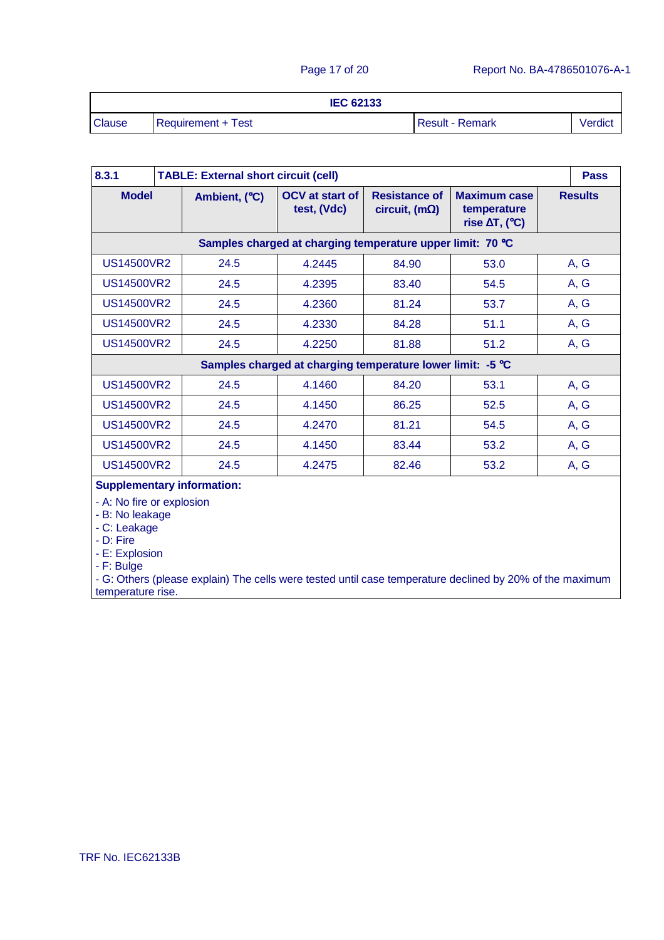|               | <b>IEC 62133</b>   |                        |         |
|---------------|--------------------|------------------------|---------|
| <b>Clause</b> | Requirement + Test | <b>Result - Remark</b> | Verdict |

| 8.3.1                     | <b>TABLE: External short circuit (cell)</b> |                                                            |                                                |                                                                         | <b>Pass</b>    |
|---------------------------|---------------------------------------------|------------------------------------------------------------|------------------------------------------------|-------------------------------------------------------------------------|----------------|
| <b>Model</b>              | Ambient, (°C)                               | <b>OCV</b> at start of<br>test, (Vdc)                      | <b>Resistance of</b><br>circuit, (m $\Omega$ ) | <b>Maximum case</b><br>temperature<br>rise $\Delta T$ , ( $^{\circ}$ C) | <b>Results</b> |
|                           |                                             | Samples charged at charging temperature upper limit: 70 °C |                                                |                                                                         |                |
| US14500VR2                | 24.5                                        | 4.2445                                                     | 84.90                                          | 53.0                                                                    | A, G           |
| <b>US14500VR2</b>         | 24.5                                        | 4.2395                                                     | 83.40                                          | 54.5                                                                    | A, G           |
| US14500VR2                | 24.5                                        | 4.2360                                                     | 81.24                                          | 53.7                                                                    | A, G           |
| US14500VR2                | 24.5                                        | 4.2330                                                     | 84.28                                          | 51.1                                                                    | A, G           |
| <b>US14500VR2</b>         | 24.5                                        | 4.2250                                                     | 81.88                                          | 51.2                                                                    | A, G           |
|                           |                                             | Samples charged at charging temperature lower limit: -5 °C |                                                |                                                                         |                |
| <b>US14500VR2</b>         | 24.5                                        | 4.1460                                                     | 84.20                                          | 53.1                                                                    | A, G           |
| <b>US14500VR2</b>         | 24.5                                        | 4.1450                                                     | 86.25                                          | 52.5                                                                    | A, G           |
| <b>US14500VR2</b>         | 24.5                                        | 4.2470                                                     | 81.21                                          | 54.5                                                                    | A, G           |
| <b>US14500VR2</b>         | 24.5                                        | 4.1450                                                     | 83.44                                          | 53.2                                                                    | A, G           |
| <b>US14500VR2</b>         | 24.5                                        | 4.2475                                                     | 82.46                                          | 53.2                                                                    | A, G           |
|                           | <b>Supplementary information:</b>           |                                                            |                                                |                                                                         |                |
| - A: No fire or explosion |                                             |                                                            |                                                |                                                                         |                |

- B: No leakage

- C: Leakage

- D: Fire

- E: Explosion

- F: Bulge

- G: Others (please explain) The cells were tested until case temperature declined by 20% of the maximum temperature rise.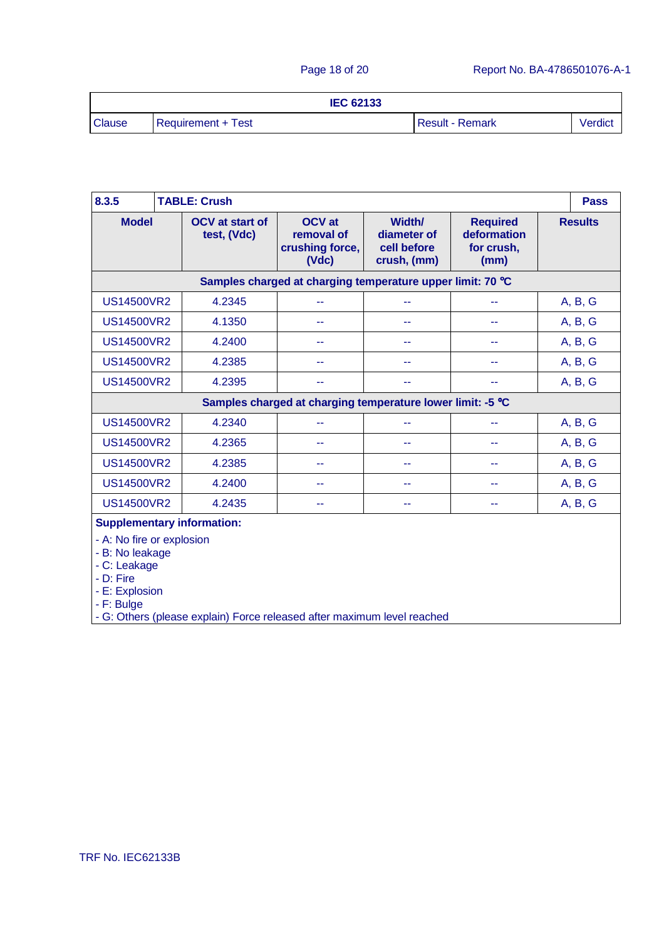|               | <b>IEC 62133</b>   |                        |         |
|---------------|--------------------|------------------------|---------|
| <b>Clause</b> | Requirement + Test | <b>Result - Remark</b> | Verdict |

| 8.3.5                                                                                                     |                                                            | <b>TABLE: Crush</b>                                                     |                                                            |                                                     |                                                      |  | <b>Pass</b>    |
|-----------------------------------------------------------------------------------------------------------|------------------------------------------------------------|-------------------------------------------------------------------------|------------------------------------------------------------|-----------------------------------------------------|------------------------------------------------------|--|----------------|
| <b>Model</b>                                                                                              |                                                            | <b>OCV</b> at start of<br>test, (Vdc)                                   | <b>OCV</b> at<br>removal of<br>crushing force,<br>(Vdc)    | Width/<br>diameter of<br>cell before<br>crush, (mm) | <b>Required</b><br>deformation<br>for crush,<br>(mm) |  | <b>Results</b> |
|                                                                                                           |                                                            |                                                                         | Samples charged at charging temperature upper limit: 70 °C |                                                     |                                                      |  |                |
| <b>US14500VR2</b>                                                                                         |                                                            | 4.2345                                                                  |                                                            |                                                     |                                                      |  | A, B, G        |
| <b>US14500VR2</b>                                                                                         |                                                            | 4.1350                                                                  | --                                                         | --                                                  | --                                                   |  | A, B, G        |
| <b>US14500VR2</b>                                                                                         |                                                            | 4.2400                                                                  | --                                                         | --                                                  | --                                                   |  | A, B, G        |
| <b>US14500VR2</b>                                                                                         |                                                            | 4.2385                                                                  | --                                                         | --                                                  | --                                                   |  | A, B, G        |
| <b>US14500VR2</b>                                                                                         |                                                            | 4.2395                                                                  | --                                                         | --                                                  |                                                      |  | A, B, G        |
|                                                                                                           | Samples charged at charging temperature lower limit: -5 °C |                                                                         |                                                            |                                                     |                                                      |  |                |
| <b>US14500VR2</b>                                                                                         |                                                            | 4.2340                                                                  | --                                                         | 44                                                  | --                                                   |  | A, B, G        |
| <b>US14500VR2</b>                                                                                         |                                                            | 4.2365                                                                  | --                                                         | --                                                  | --                                                   |  | A, B, G        |
| <b>US14500VR2</b>                                                                                         |                                                            | 4.2385                                                                  | 44                                                         | 44                                                  | --                                                   |  | A, B, G        |
| <b>US14500VR2</b>                                                                                         |                                                            | 4.2400                                                                  | ۰.                                                         | 44                                                  | --                                                   |  | A, B, G        |
| <b>US14500VR2</b>                                                                                         |                                                            | 4.2435                                                                  | --                                                         | --                                                  | --                                                   |  | A, B, G        |
|                                                                                                           |                                                            | <b>Supplementary information:</b>                                       |                                                            |                                                     |                                                      |  |                |
| - A: No fire or explosion<br>- B: No leakage<br>- C: Leakage<br>- D: Fire<br>- E: Explosion<br>- F: Bulge |                                                            | - G: Others (please explain) Force released after maximum level reached |                                                            |                                                     |                                                      |  |                |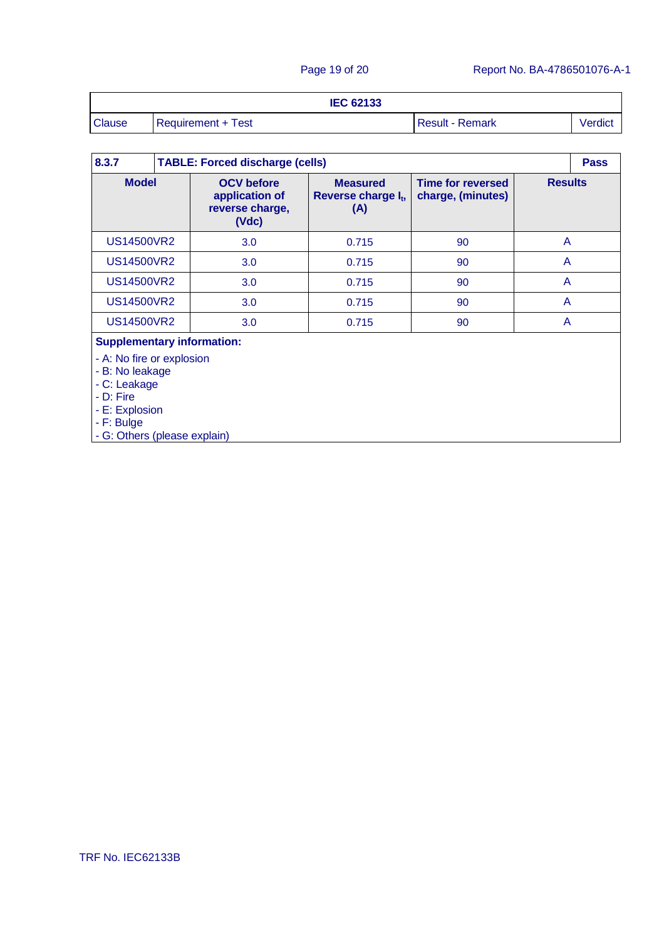|               | <b>IEC 62133</b>   |                        |         |
|---------------|--------------------|------------------------|---------|
| <b>Clause</b> | Requirement + Test | <b>Result - Remark</b> | Verdict |

| 8.3.7                                                                                                     |                          |                                                                 | <b>TABLE: Forced discharge (cells)</b>                    |                                               |                |  |  |  |
|-----------------------------------------------------------------------------------------------------------|--------------------------|-----------------------------------------------------------------|-----------------------------------------------------------|-----------------------------------------------|----------------|--|--|--|
| <b>Model</b>                                                                                              |                          | <b>OCV</b> before<br>application of<br>reverse charge,<br>(Vdc) | <b>Measured</b><br>Reverse charge I <sub>t</sub> ,<br>(A) | <b>Time for reversed</b><br>charge, (minutes) | <b>Results</b> |  |  |  |
| <b>US14500VR2</b>                                                                                         |                          | 3.0                                                             | 0.715                                                     | 90                                            | A              |  |  |  |
| <b>US14500VR2</b>                                                                                         |                          | 3.0                                                             | 0.715                                                     | 90                                            | A              |  |  |  |
| <b>US14500VR2</b>                                                                                         |                          | 3.0                                                             | 0.715                                                     | 90                                            | A              |  |  |  |
| <b>US14500VR2</b><br>3.0<br>0.715                                                                         |                          | 90                                                              | A                                                         |                                               |                |  |  |  |
|                                                                                                           | <b>US14500VR2</b><br>3.0 |                                                                 | 0.715                                                     |                                               | A              |  |  |  |
| <b>Supplementary information:</b>                                                                         |                          |                                                                 |                                                           |                                               |                |  |  |  |
| - A: No fire or explosion<br>- B: No leakage<br>- C: Leakage<br>- D: Fire<br>- E: Explosion<br>- F: Bulge |                          |                                                                 |                                                           |                                               |                |  |  |  |

- G: Others (please explain)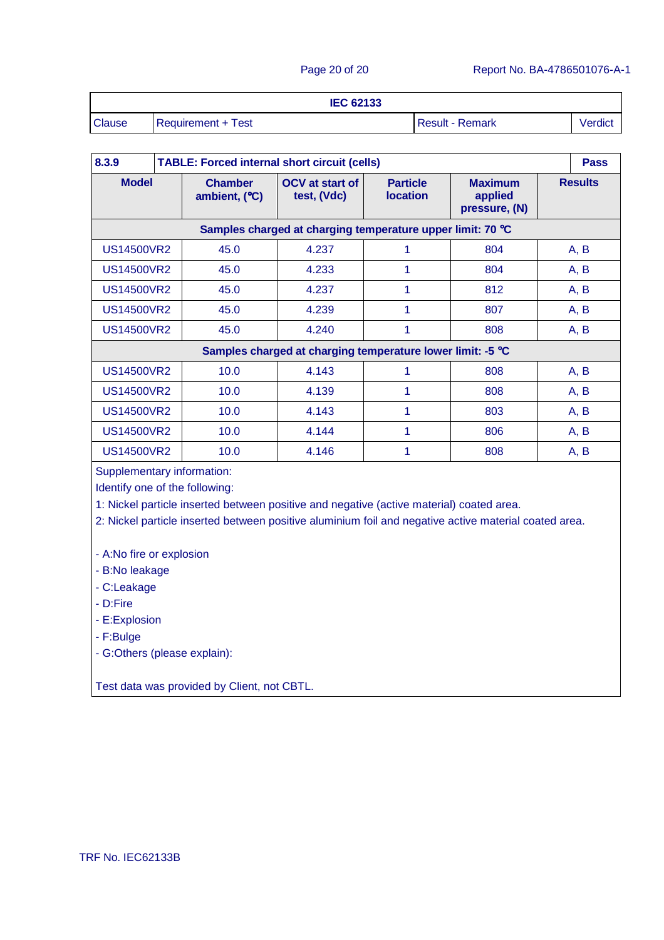|               | <b>IEC 62133</b>   |                        |         |
|---------------|--------------------|------------------------|---------|
| <b>Clause</b> | Requirement + Test | <b>Result - Remark</b> | Verdict |

| 8.3.9             | <b>TABLE: Forced internal short circuit (cells)</b> |                                                            |                                    |                                            | <b>Pass</b>    |
|-------------------|-----------------------------------------------------|------------------------------------------------------------|------------------------------------|--------------------------------------------|----------------|
| <b>Model</b>      | <b>Chamber</b><br>ambient, (°C)                     | <b>OCV</b> at start of<br>test, (Vdc)                      | <b>Particle</b><br><b>location</b> | <b>Maximum</b><br>applied<br>pressure, (N) | <b>Results</b> |
|                   |                                                     | Samples charged at charging temperature upper limit: 70 °C |                                    |                                            |                |
| US14500VR2        | 45.0                                                | 4.237                                                      | 1                                  | 804                                        | A, B           |
| <b>US14500VR2</b> | 45.0                                                | 4.233                                                      | 1                                  | 804                                        | A, B           |
| US14500VR2        | 45.0                                                | 4.237                                                      | 1                                  | 812                                        | A, B           |
| US14500VR2        | 45.0                                                | 4.239                                                      | 1                                  | 807                                        | A, B           |
| US14500VR2        | 45.0                                                | 4.240                                                      | 1                                  | 808                                        | A, B           |
|                   |                                                     | Samples charged at charging temperature lower limit: -5 °C |                                    |                                            |                |
| <b>US14500VR2</b> | 10.0                                                | 4.143                                                      | 1                                  | 808                                        | A, B           |
| US14500VR2        | 10.0                                                | 4.139                                                      |                                    | 808                                        | A, B           |
| <b>US14500VR2</b> | 10.0                                                | 4.143                                                      | 1                                  | 803                                        | A, B           |
| <b>US14500VR2</b> | 10.0                                                | 4.144                                                      | 1                                  | 806                                        | A, B           |
| <b>US14500VR2</b> | 10.0                                                | 4.146                                                      | 1                                  | 808                                        | A, B           |

Supplementary information:

Identify one of the following:

1: Nickel particle inserted between positive and negative (active material) coated area.

2: Nickel particle inserted between positive aluminium foil and negative active material coated area.

- A:No fire or explosion

- B:No leakage

- C:Leakage
- D:Fire
- E:Explosion
- F:Bulge
- G:Others (please explain):

Test data was provided by Client, not CBTL.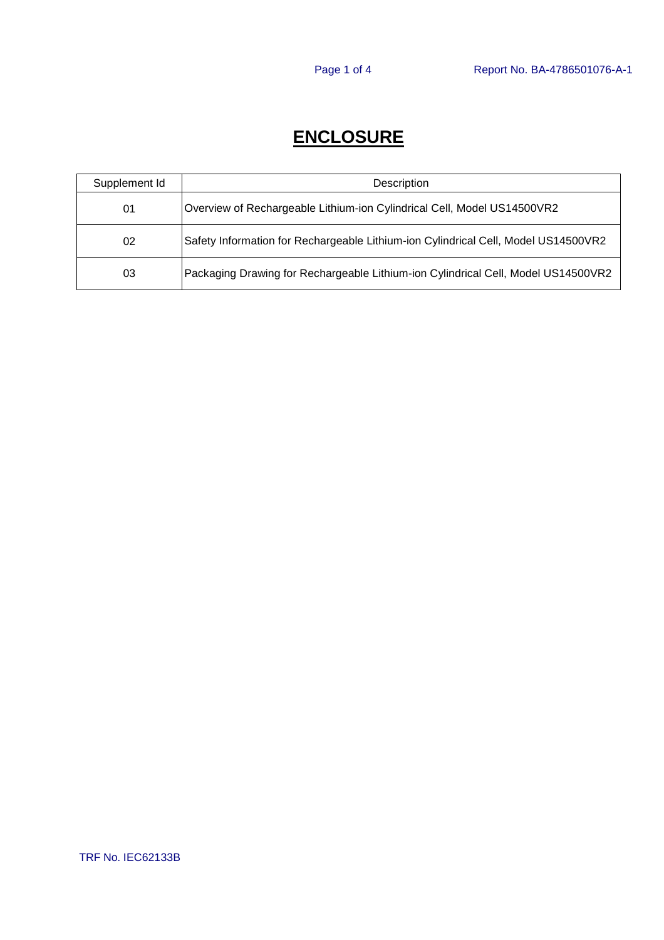# **ENCLOSURE**

| Supplement Id | Description                                                                        |
|---------------|------------------------------------------------------------------------------------|
| 01            | Overview of Rechargeable Lithium-ion Cylindrical Cell, Model US14500VR2            |
| 02            | Safety Information for Rechargeable Lithium-ion Cylindrical Cell, Model US14500VR2 |
| 03            | Packaging Drawing for Rechargeable Lithium-ion Cylindrical Cell, Model US14500VR2  |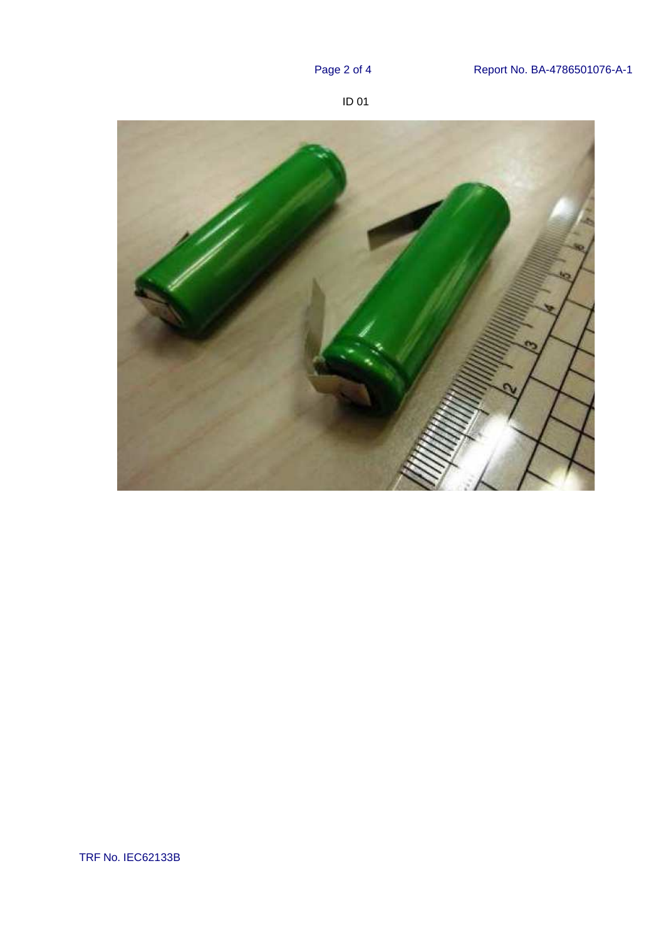



TRF No. IEC62133B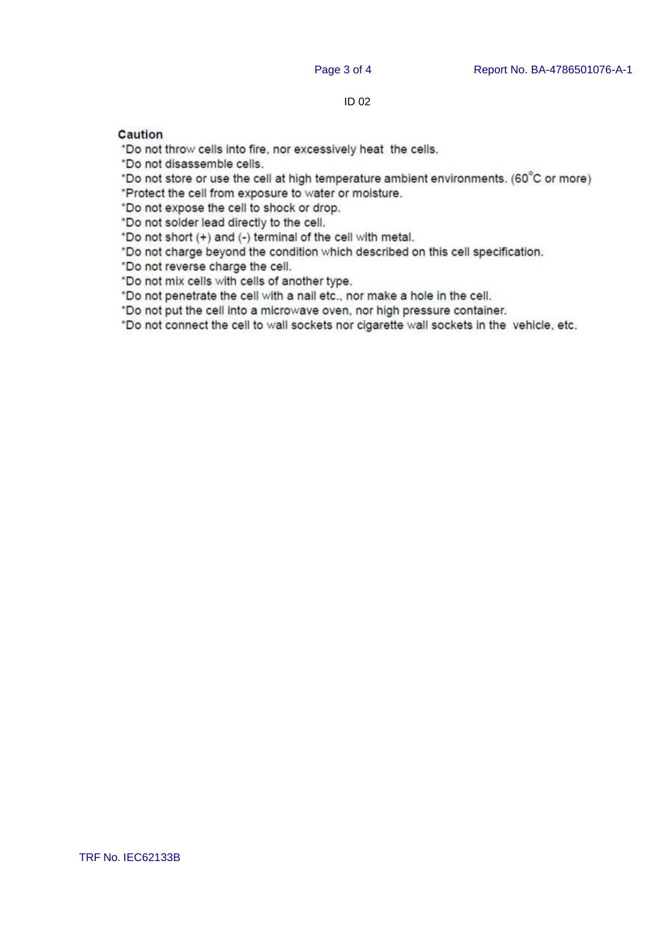### ID 02

### Caution

"Do not throw cells into fire, nor excessively heat the cells.

\*Do not disassemble cells.

\*Do not store or use the cell at high temperature ambient environments. (60°C or more)

\*Protect the cell from exposure to water or moisture.

\*Do not expose the cell to shock or drop.

"Do not solder lead directly to the cell.

\*Do not short (+) and (-) terminal of the cell with metal.

\*Do not charge beyond the condition which described on this cell specification.

"Do not reverse charge the cell.

\*Do not mix cells with cells of another type.

"Do not penetrate the cell with a nail etc., nor make a hole in the cell.

"Do not put the cell into a microwave oven, nor high pressure container.

\*Do not connect the cell to wall sockets nor cigarette wall sockets in the vehicle, etc.